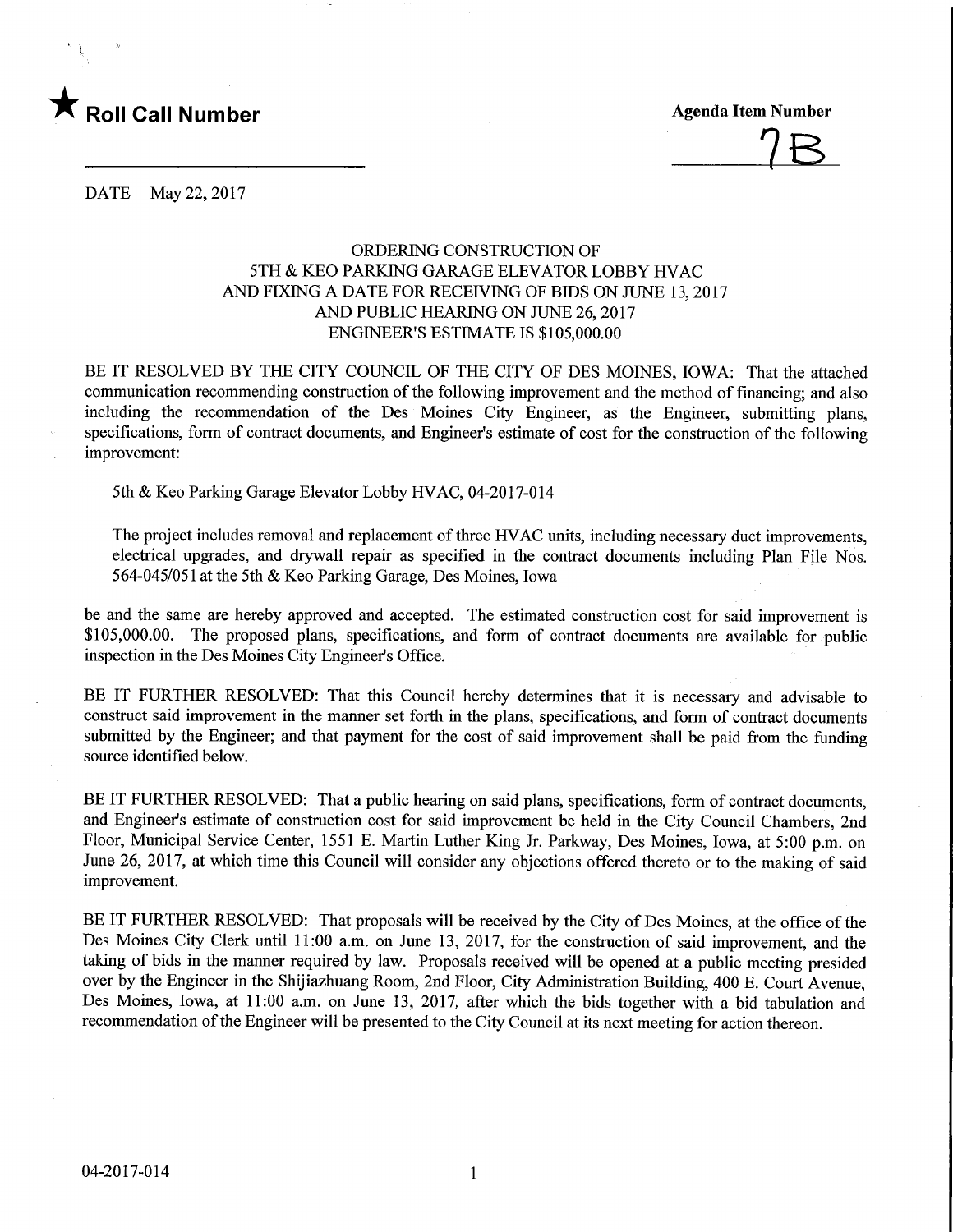

 $15$ 

DATE May 22, 2017

## ORDERING CONSTRUCTION OF 5TH & KEO PARKING GARAGE ELEVATOR LOBBY HVAC AND FIXING A DATE FOR RECEWING OF BIDS ON JUNE 13,2017 AND PUBLIC HEARING ON JUNE 26,2017 ENGINEER'S ESTIMATE IS \$105,000.00

BE IT RESOLVED BY THE CITY COUNCIL OF THE CITY OF DES MOINES, IOWA: That the attached communication recommending construction of the following improvement and the method of financing; and also including the recommendation of the Des Moines City Engineer, as the Engineer, submitting plans, specifications, form of contract documents, and Engineer's estimate of cost for the construction of the following improvement:

5th & Keo Parking Garage Elevator Lobby HVAC, 04-2017-014

The project includes removal and replacement of three HVAC units, including necessary duct improvements, electrical upgrades, and drywall repair as specified in the contract documents including Plan File Nos. 564-045/051 at the 5th & Keo Parking Garage, Des Moines, Iowa

be and the same are hereby approved and accepted. The estimated construction cost for said improvement is \$105,000.00. The proposed plans, specifications, and form of contract documents are available for public inspection in the Des Moines City Engineer's Office.

BE IT FURTHER RESOLVED: That this Council hereby determines that it is necessary and advisable to construct said improvement in the manner set forth in the plans, specifications, and form of contract documents submitted by the Engineer; and that payment for the cost of said improvement shall be paid from the funding source identified below.

BE IT FURTHER RESOLVED: That a public hearing on said plans, specifications, form of contract documents, and Engineer's estimate of construction cost for said improvement be held in the City Council Chambers, 2nd Floor, Municipal Service Center, 1551 E. Martin Luther King Jr. Parkway, Des Moines, Iowa, at 5:00 p.m. on June 26, 2017, at which time this Council will consider any objections offered thereto or to the making of said improvement.

BE IT FURTHER RESOLVED: That proposals will be received by the City of Des Moines, at the office of the Des Moines City Clerk until 11:00 a.m. on June 13, 2017, for the construction of said improvement, and the taking of bids in the manner required by law. Proposals received will be opened at a public meeting presided over by the Engineer in the Shijiazhuang Room, 2nd Floor, City Administration Building, 400 E. Court Avenue, Des Moines, Iowa, at 11:00 a.m. on June 13, 2017, after which the bids together with a bid tabulation and recommendation of the Engineer will be presented to the City Council at its next meeting for action thereon.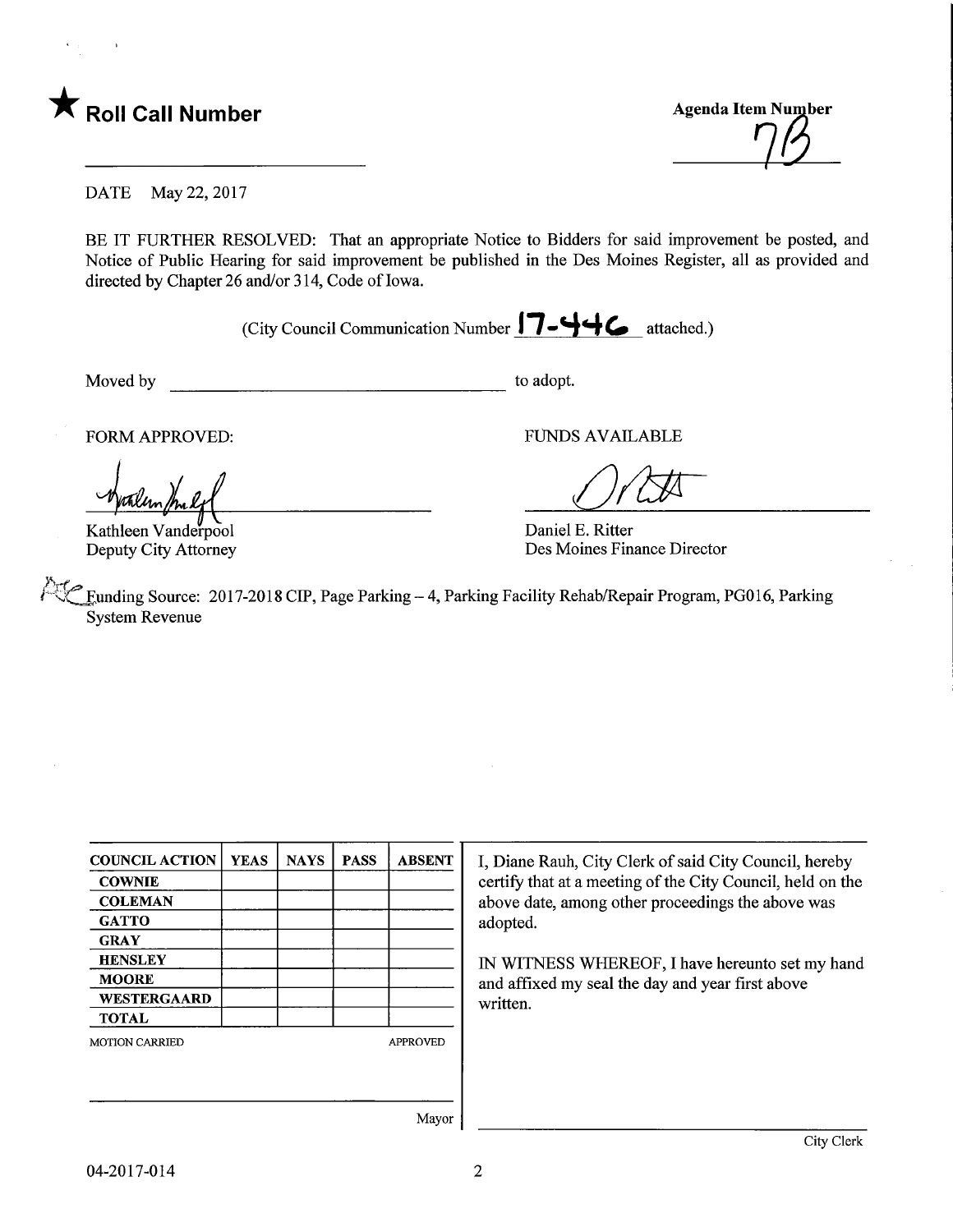

Roll Call Number Agenda Item Number Agenda Item Number Agenda Item Number Agenda Item Number  $\eta\beta$ 

DATE May 22, 2017

BE IT FURTHER RESOLVED: That an appropriate Notice to Bidders for said improvement be posted, and Notice of Public Hearing for said improvement be published in the Des Moines Register, all as provided and directed by Chapter 26 and/or 314, Code of Iowa.

(City Council Communication Number  $17 - 44$   $\epsilon$  attached.)

Moved by to adopt.

Kathleen Vanderpool Deputy City Attorney

FORM APPROVED: FUNDS AVAILABLE

 $\overline{\mathcal{X}}$ 

Daniel E. Ritter Des Moines Finance Director

Funding Source: 2017-2018 CIP, Page Parking - 4, Parking Facility Rehab/Repair Program, PG016, Parking System Revenue

| <b>COUNCIL ACTION</b> | <b>YEAS</b> | <b>NAYS</b> | <b>PASS</b> | <b>ABSENT</b>   |
|-----------------------|-------------|-------------|-------------|-----------------|
| <b>COWNIE</b>         |             |             |             |                 |
| <b>COLEMAN</b>        |             |             |             |                 |
| <b>GATTO</b>          |             |             |             |                 |
| <b>GRAY</b>           |             |             |             |                 |
| <b>HENSLEY</b>        |             |             |             |                 |
| <b>MOORE</b>          |             |             |             |                 |
| <b>WESTERGAARD</b>    |             |             |             |                 |
| <b>TOTAL</b>          |             |             |             |                 |
| <b>MOTION CARRIED</b> |             |             |             | <b>APPROVED</b> |
|                       |             |             |             |                 |
|                       |             |             |             |                 |

I, Diane Rauh, City Clerk of said City Council, hereby certify that at a meeting of the City Council, held on the above date, among other proceedings the above was adopted.

IN WITNESS WHEREOF, I have hereunto set my hand and affixed my seal the day and year first above written.

Mayor